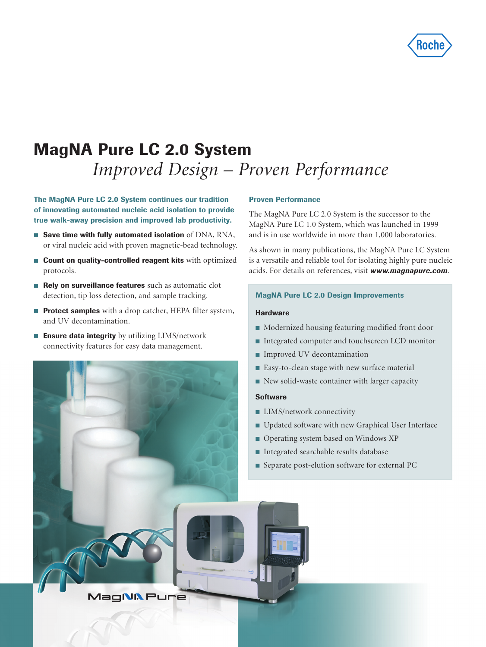

# MagNA Pure LC 2.0 System  *Improved Design – Proven Performance*

The MagNA Pure LC 2.0 System continues our tradition of innovating automated nucleic acid isolation to provide true walk-away precision and improved lab productivity.

- $\blacksquare$  Save time with fully automated isolation of DNA, RNA, or viral nucleic acid with proven magnetic-bead technology.
- **Count on quality-controlled reagent kits** with optimized protocols.
- Rely on surveillance features such as automatic clot detection, tip loss detection, and sample tracking.
- **Protect samples** with a drop catcher, HEPA filter system, and UV decontamination.
- **Ensure data integrity** by utilizing  $LIMS/network$ connectivity features for easy data management.



#### Proven Performance

The MagNA Pure LC 2.0 System is the successor to the MagNA Pure LC 1.0 System, which was launched in 1999 and is in use worldwide in more than 1,000 laboratories.

As shown in many publications, the MagNA Pure LC System is a versatile and reliable tool for isolating highly pure nucleic acids. For details on references, visit *www.magnapure.com*.

### MagNA Pure LC 2.0 Design Improvements

#### **Hardware**

- $\blacksquare$  Modernized housing featuring modified front door
- Integrated computer and touchscreen LCD monitor
- **Improved UV decontamination**
- Easy-to-clean stage with new surface material
- New solid-waste container with larger capacity

#### Software

- **LIMS/network connectivity**
- Updated software with new Graphical User Interface
- Operating system based on Windows XP
- Integrated searchable results database
- Separate post-elution software for external PC